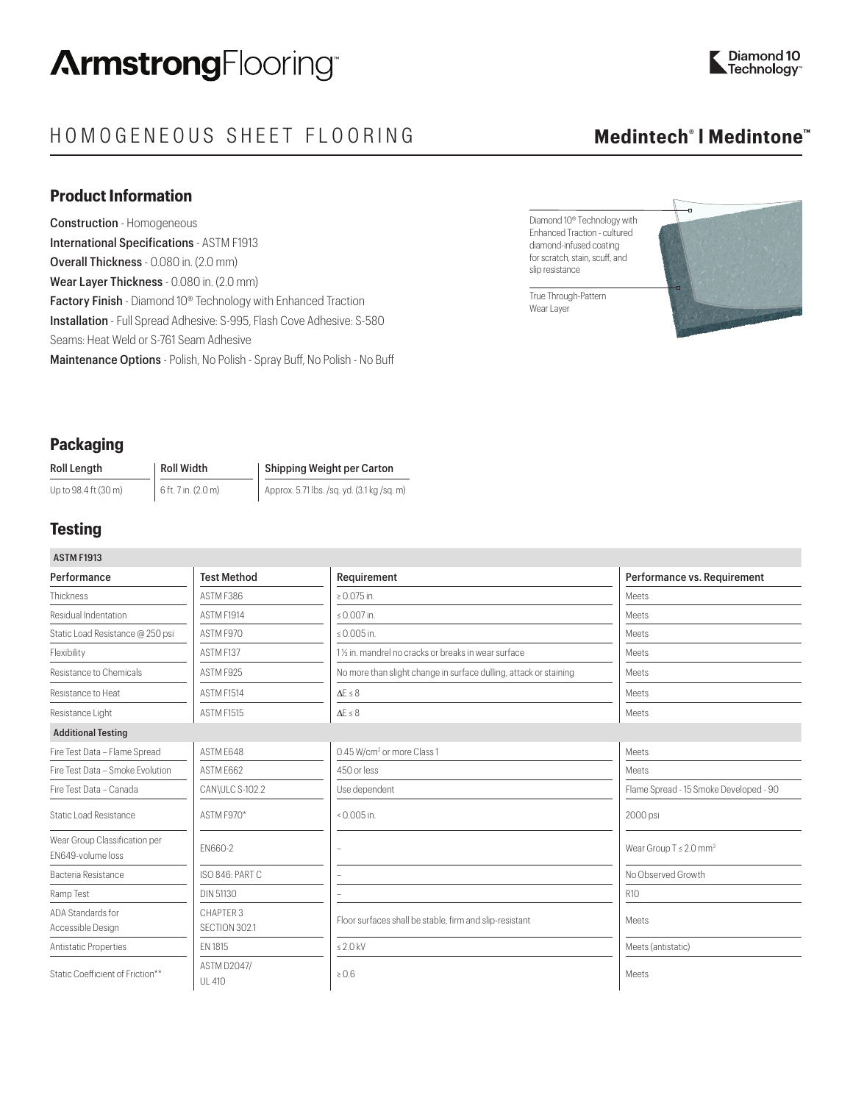# $HOMOGENEOUS SHEET FLOORING$

## **Product Information**

Construction - Homogeneous International Specifications - ASTM F1913 Overall Thickness - 0.080 in. (2.0 mm) Wear Layer Thickness - 0.080 in. (2.0 mm) Factory Finish - Diamond 10<sup>®</sup> Technology with Enhanced Traction Installation - Full Spread Adhesive: S-995, Flash Cove Adhesive: S-580 Seams: Heat Weld or S-761 Seam Adhesive Maintenance Options - Polish, No Polish - Spray Buff, No Polish - No Buff

# **Medintech®**

Diamond 10® Technology with Enhanced Traction - cultured diamond-infused coating for scratch, stain, scuff, and slip resistance

True Through-Pattern Wear Layer



## **Packaging**

| Roll Length          | <b>Roll Width</b>   | Shipping Weight per Carton                 |  |
|----------------------|---------------------|--------------------------------------------|--|
| Up to 98.4 ft (30 m) | 6 ft. 7 in. (2.0 m) | Approx. 5.71 lbs. /sq. yd. (3.1 kg /sq. m) |  |

# **Testing**

| <b>ASTM F1913</b>                                  |                                     |                                                                   |                                         |
|----------------------------------------------------|-------------------------------------|-------------------------------------------------------------------|-----------------------------------------|
| Performance                                        | <b>Test Method</b>                  | Requirement                                                       | Performance vs. Requirement             |
| Thickness                                          | ASTM F386                           | $\geq 0.075$ in.                                                  | Meets                                   |
| Residual Indentation                               | ASTM F1914                          | ≤ $0.007$ in.                                                     | Meets                                   |
| Static Load Resistance @ 250 psi                   | ASTM F970                           | ≤ 0.005 in.                                                       | Meets                                   |
| Flexibility                                        | ASTM F137                           | 11/2 in, mandrel no cracks or breaks in wear surface              | Meets                                   |
| Resistance to Chemicals                            | ASTM F925                           | No more than slight change in surface dulling, attack or staining | Meets                                   |
| Resistance to Heat                                 | ASTM F1514                          | $\Delta E \leq 8$                                                 | Meets                                   |
| Resistance Light                                   | <b>ASTM F1515</b>                   | $\Lambda$ F $\leq$ 8                                              | Meets                                   |
| <b>Additional Testing</b>                          |                                     |                                                                   |                                         |
| Fire Test Data - Flame Spread                      | ASTM F648                           | 0.45 W/cm <sup>2</sup> or more Class 1                            | Meets                                   |
| Fire Test Data - Smoke Evolution                   | ASTM E662                           | 450 or less                                                       | Meets                                   |
| Fire Test Data - Canada                            | CAN\ULC S-102.2                     | Use dependent                                                     | Flame Spread - 15 Smoke Developed - 90  |
| <b>Static Load Resistance</b>                      | ASTM F970*                          | $0.005$ in.                                                       | 2000 psi                                |
| Wear Group Classification per<br>EN649-volume loss | EN660-2                             | ٠                                                                 | Wear Group $T \leq 2.0$ mm <sup>3</sup> |
| Bacteria Resistance                                | ISO 846: PART C                     |                                                                   | No Observed Growth                      |
| Ramp Test                                          | <b>DIN 51130</b>                    |                                                                   | R10                                     |
| ADA Standards for<br>Accessible Design             | CHAPTER 3<br>SECTION 302.1          | Floor surfaces shall be stable, firm and slip-resistant           | Meets                                   |
| Antistatic Properties                              | EN 1815                             | $\leq 2.0$ kV                                                     | Meets (antistatic)                      |
| Static Coefficient of Friction**                   | <b>ASTM D2047/</b><br><b>UL 410</b> | $\geq 0.6$                                                        | Meets                                   |